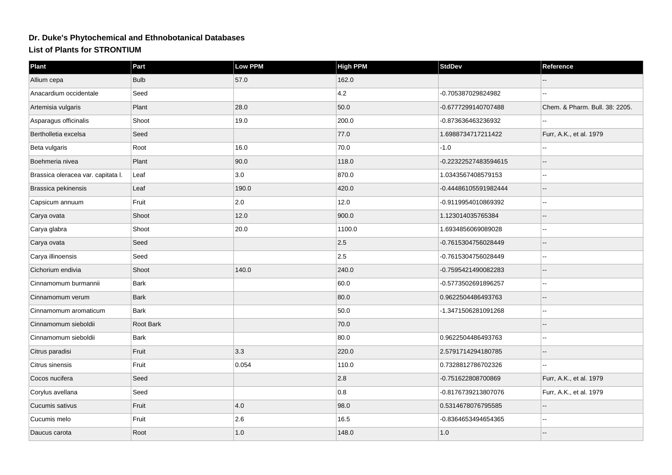## **Dr. Duke's Phytochemical and Ethnobotanical Databases**

## **List of Plants for STRONTIUM**

| Part        | Low PPM | High PPM | <b>StdDev</b>        | Reference                      |
|-------------|---------|----------|----------------------|--------------------------------|
| <b>Bulb</b> | 57.0    | 162.0    |                      |                                |
| Seed        |         | 4.2      | -0.705387029824982   |                                |
| Plant       | 28.0    | 50.0     | -0.6777299140707488  | Chem. & Pharm. Bull. 38: 2205. |
| Shoot       | 19.0    | 200.0    | -0.873636463236932   |                                |
| Seed        |         | 77.0     | 1.6988734717211422   | Furr, A.K., et al. 1979        |
| Root        | 16.0    | 70.0     | $-1.0$               |                                |
| Plant       | 90.0    | 118.0    | -0.22322527483594615 |                                |
| Leaf        | 3.0     | 870.0    | 1.0343567408579153   |                                |
| Leaf        | 190.0   | 420.0    | -0.44486105591982444 |                                |
| Fruit       | 2.0     | 12.0     | -0.9119954010869392  |                                |
| Shoot       | 12.0    | 900.0    | 1.123014035765384    |                                |
| Shoot       | 20.0    | 1100.0   | 1.6934856069089028   |                                |
| Seed        |         | 2.5      | -0.7615304756028449  |                                |
| Seed        |         | 2.5      | -0.7615304756028449  | $\sim$                         |
| Shoot       | 140.0   | 240.0    | -0.7595421490082283  |                                |
| Bark        |         | 60.0     | -0.5773502691896257  | ۵.                             |
| Bark        |         | 80.0     | 0.9622504486493763   |                                |
| <b>Bark</b> |         | 50.0     | -1.3471506281091268  |                                |
| Root Bark   |         | 70.0     |                      |                                |
| Bark        |         | 80.0     | 0.9622504486493763   | $\sim$                         |
| Fruit       | 3.3     | 220.0    | 2.5791714294180785   |                                |
| Fruit       | 0.054   | 110.0    | 0.7328812786702326   |                                |
| Seed        |         | 2.8      | -0.751622808700869   | Furr, A.K., et al. 1979        |
| Seed        |         | 0.8      | -0.8176739213807076  | Furr, A.K., et al. 1979        |
| Fruit       | 4.0     | 98.0     | 0.5314678076795585   |                                |
| Fruit       | 2.6     | 16.5     | -0.8364653494654365  | $\overline{a}$                 |
| Root        | 1.0     | 148.0    | 1.0                  |                                |
|             |         |          |                      |                                |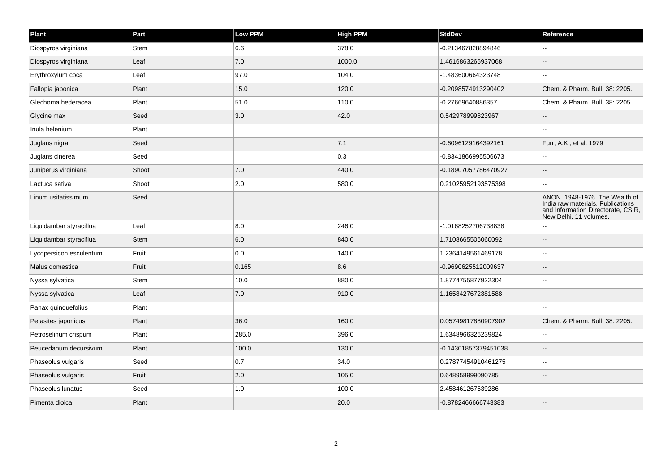| Plant                   | Part        | Low PPM | <b>High PPM</b> | <b>StdDev</b>        | Reference                                                                                                                           |
|-------------------------|-------------|---------|-----------------|----------------------|-------------------------------------------------------------------------------------------------------------------------------------|
| Diospyros virginiana    | <b>Stem</b> | 6.6     | 378.0           | -0.213467828894846   |                                                                                                                                     |
| Diospyros virginiana    | Leaf        | 7.0     | 1000.0          | 1.4616863265937068   |                                                                                                                                     |
| Erythroxylum coca       | Leaf        | 97.0    | 104.0           | -1.483600664323748   |                                                                                                                                     |
| Fallopia japonica       | Plant       | 15.0    | 120.0           | -0.2098574913290402  | Chem. & Pharm. Bull. 38: 2205.                                                                                                      |
| Glechoma hederacea      | Plant       | 51.0    | 110.0           | -0.27669640886357    | Chem. & Pharm. Bull. 38: 2205.                                                                                                      |
| Glycine max             | Seed        | 3.0     | 42.0            | 0.542978999823967    |                                                                                                                                     |
| Inula helenium          | Plant       |         |                 |                      |                                                                                                                                     |
| Juglans nigra           | Seed        |         | 7.1             | -0.6096129164392161  | Furr, A.K., et al. 1979                                                                                                             |
| Juglans cinerea         | Seed        |         | 0.3             | -0.8341866995506673  |                                                                                                                                     |
| Juniperus virginiana    | Shoot       | 7.0     | 440.0           | -0.18907057786470927 | --                                                                                                                                  |
| Lactuca sativa          | Shoot       | 2.0     | 580.0           | 0.21025952193575398  | $\sim$ $\sim$                                                                                                                       |
| Linum usitatissimum     | Seed        |         |                 |                      | ANON. 1948-1976. The Wealth of<br>India raw materials. Publications<br>and Information Directorate, CSIR,<br>New Delhi. 11 volumes. |
| Liquidambar styraciflua | Leaf        | 8.0     | 246.0           | -1.0168252706738838  |                                                                                                                                     |
| Liquidambar styraciflua | <b>Stem</b> | 6.0     | 840.0           | 1.7108665506060092   |                                                                                                                                     |
| Lycopersicon esculentum | Fruit       | 0.0     | 140.0           | 1.2364149561469178   | $\overline{a}$                                                                                                                      |
| Malus domestica         | Fruit       | 0.165   | 8.6             | -0.9690625512009637  |                                                                                                                                     |
| Nyssa sylvatica         | Stem        | 10.0    | 880.0           | 1.8774755877922304   | $\overline{a}$                                                                                                                      |
| Nyssa sylvatica         | Leaf        | 7.0     | 910.0           | 1.1658427672381588   |                                                                                                                                     |
| Panax quinquefolius     | Plant       |         |                 |                      |                                                                                                                                     |
| Petasites japonicus     | Plant       | 36.0    | 160.0           | 0.05749817880907902  | Chem. & Pharm. Bull. 38: 2205.                                                                                                      |
| Petroselinum crispum    | Plant       | 285.0   | 396.0           | 1.6348966326239824   | $\overline{a}$                                                                                                                      |
| Peucedanum decursivum   | Plant       | 100.0   | 130.0           | -0.14301857379451038 | $\sim$                                                                                                                              |
| Phaseolus vulgaris      | Seed        | 0.7     | 34.0            | 0.27877454910461275  | ÷.                                                                                                                                  |
| Phaseolus vulgaris      | Fruit       | 2.0     | 105.0           | 0.648958999090785    |                                                                                                                                     |
| Phaseolus lunatus       | Seed        | 1.0     | 100.0           | 2.458461267539286    |                                                                                                                                     |
| Pimenta dioica          | Plant       |         | 20.0            | -0.8782466666743383  |                                                                                                                                     |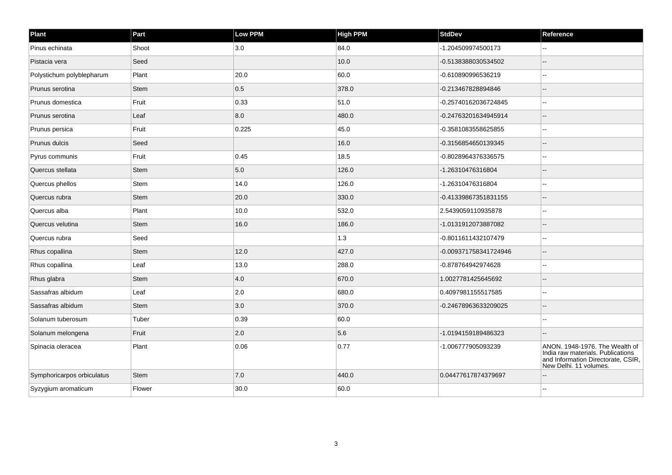| Plant                      | Part        | Low PPM | <b>High PPM</b> | <b>StdDev</b>         | Reference                                                                                                                           |
|----------------------------|-------------|---------|-----------------|-----------------------|-------------------------------------------------------------------------------------------------------------------------------------|
| Pinus echinata             | Shoot       | 3.0     | 84.0            | -1.204509974500173    |                                                                                                                                     |
| Pistacia vera              | Seed        |         | 10.0            | -0.5138388030534502   |                                                                                                                                     |
| Polystichum polyblepharum  | Plant       | 20.0    | 60.0            | -0.610890996536219    |                                                                                                                                     |
| Prunus serotina            | Stem        | 0.5     | 378.0           | -0.213467828894846    |                                                                                                                                     |
| Prunus domestica           | Fruit       | 0.33    | 51.0            | -0.25740162036724845  |                                                                                                                                     |
| Prunus serotina            | Leaf        | 8.0     | 480.0           | -0.24763201634945914  |                                                                                                                                     |
| Prunus persica             | Fruit       | 0.225   | 45.0            | -0.3581083558625855   |                                                                                                                                     |
| Prunus dulcis              | Seed        |         | 16.0            | -0.3156854650139345   |                                                                                                                                     |
| Pyrus communis             | Fruit       | 0.45    | 18.5            | -0.8028964376336575   |                                                                                                                                     |
| Quercus stellata           | Stem        | 5.0     | 126.0           | -1.26310476316804     |                                                                                                                                     |
| Quercus phellos            | Stem        | 14.0    | 126.0           | -1.26310476316804     | $\overline{a}$                                                                                                                      |
| Quercus rubra              | Stem        | 20.0    | 330.0           | -0.41339867351831155  |                                                                                                                                     |
| Quercus alba               | Plant       | 10.0    | 532.0           | 2.5439059110935878    |                                                                                                                                     |
| Quercus velutina           | Stem        | 16.0    | 186.0           | -1.0131912073887082   |                                                                                                                                     |
| Quercus rubra              | Seed        |         | 1.3             | -0.8011611432107479   | $\overline{a}$                                                                                                                      |
| Rhus copallina             | Stem        | 12.0    | 427.0           | -0.009371758341724946 |                                                                                                                                     |
| Rhus copallina             | Leaf        | 13.0    | 288.0           | -0.878764942974628    | $\sim$                                                                                                                              |
| Rhus glabra                | Stem        | 4.0     | 670.0           | 1.0027781425645692    |                                                                                                                                     |
| Sassafras albidum          | Leaf        | 2.0     | 680.0           | 0.4097981155517585    |                                                                                                                                     |
| Sassafras albidum          | Stem        | 3.0     | 370.0           | -0.24678963633209025  | $-$                                                                                                                                 |
| Solanum tuberosum          | Tuber       | 0.39    | 60.0            |                       |                                                                                                                                     |
| Solanum melongena          | Fruit       | 2.0     | 5.6             | -1.0194159189486323   |                                                                                                                                     |
| Spinacia oleracea          | Plant       | 0.06    | 0.77            | -1.006777905093239    | ANON. 1948-1976. The Wealth of<br>India raw materials. Publications<br>and Information Directorate, CSIR,<br>New Delhi. 11 volumes. |
| Symphoricarpos orbiculatus | <b>Stem</b> | 7.0     | 440.0           | 0.04477617874379697   |                                                                                                                                     |
| Syzygium aromaticum        | Flower      | 30.0    | 60.0            |                       |                                                                                                                                     |